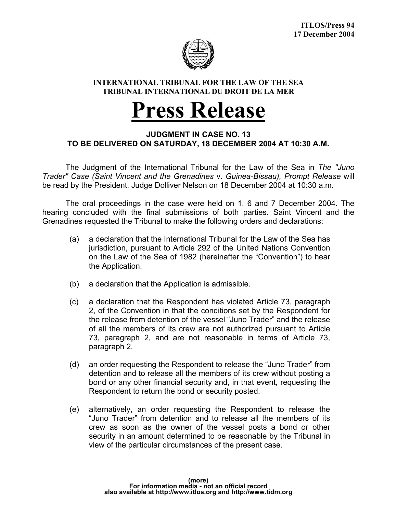

## **INTERNATIONAL TRIBUNAL FOR THE LAW OF THE SEA TRIBUNAL INTERNATIONAL DU DROIT DE LA MER**

## **Press Release**

## **JUDGMENT IN CASE NO. 13 TO BE DELIVERED ON SATURDAY, 18 DECEMBER 2004 AT 10:30 A.M.**

 The Judgment of the International Tribunal for the Law of the Sea in *The "Juno Trader" Case (Saint Vincent and the Grenadines* v. *Guinea-Bissau), Prompt Release* will be read by the President, Judge Dolliver Nelson on 18 December 2004 at 10:30 a.m.

 The oral proceedings in the case were held on 1, 6 and 7 December 2004. The hearing concluded with the final submissions of both parties. Saint Vincent and the Grenadines requested the Tribunal to make the following orders and declarations:

- (a) a declaration that the International Tribunal for the Law of the Sea has jurisdiction, pursuant to Article 292 of the United Nations Convention on the Law of the Sea of 1982 (hereinafter the "Convention") to hear the Application.
- (b) a declaration that the Application is admissible.
- (c) a declaration that the Respondent has violated Article 73, paragraph 2, of the Convention in that the conditions set by the Respondent for the release from detention of the vessel "Juno Trader" and the release of all the members of its crew are not authorized pursuant to Article 73, paragraph 2, and are not reasonable in terms of Article 73, paragraph 2.
- (d) an order requesting the Respondent to release the "Juno Trader" from detention and to release all the members of its crew without posting a bond or any other financial security and, in that event, requesting the Respondent to return the bond or security posted.
- (e) alternatively, an order requesting the Respondent to release the "Juno Trader" from detention and to release all the members of its crew as soon as the owner of the vessel posts a bond or other security in an amount determined to be reasonable by the Tribunal in view of the particular circumstances of the present case.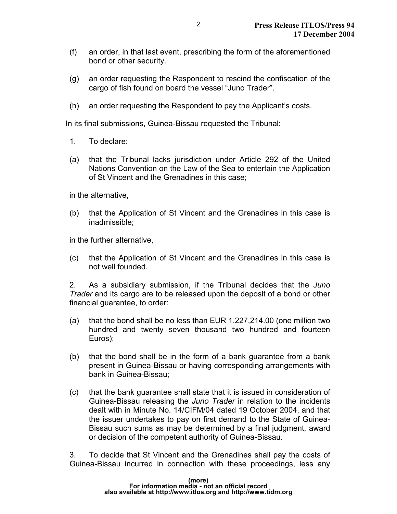- (f) an order, in that last event, prescribing the form of the aforementioned bond or other security.
- (g) an order requesting the Respondent to rescind the confiscation of the cargo of fish found on board the vessel "Juno Trader".
- (h) an order requesting the Respondent to pay the Applicant's costs.

In its final submissions, Guinea-Bissau requested the Tribunal:

- 1. To declare:
- (a) that the Tribunal lacks jurisdiction under Article 292 of the United Nations Convention on the Law of the Sea to entertain the Application of St Vincent and the Grenadines in this case;

in the alternative,

(b) that the Application of St Vincent and the Grenadines in this case is inadmissible;

in the further alternative,

(c) that the Application of St Vincent and the Grenadines in this case is not well founded.

2. As a subsidiary submission, if the Tribunal decides that the *Juno Trader* and its cargo are to be released upon the deposit of a bond or other financial guarantee, to order:

- (a) that the bond shall be no less than EUR 1,227,214.00 (one million two hundred and twenty seven thousand two hundred and fourteen Euros);
- (b) that the bond shall be in the form of a bank guarantee from a bank present in Guinea-Bissau or having corresponding arrangements with bank in Guinea-Bissau;
- (c) that the bank guarantee shall state that it is issued in consideration of Guinea-Bissau releasing the *Juno Trader* in relation to the incidents dealt with in Minute No. 14/CIFM/04 dated 19 October 2004, and that the issuer undertakes to pay on first demand to the State of Guinea-Bissau such sums as may be determined by a final judgment, award or decision of the competent authority of Guinea-Bissau.

3. To decide that St Vincent and the Grenadines shall pay the costs of Guinea-Bissau incurred in connection with these proceedings, less any